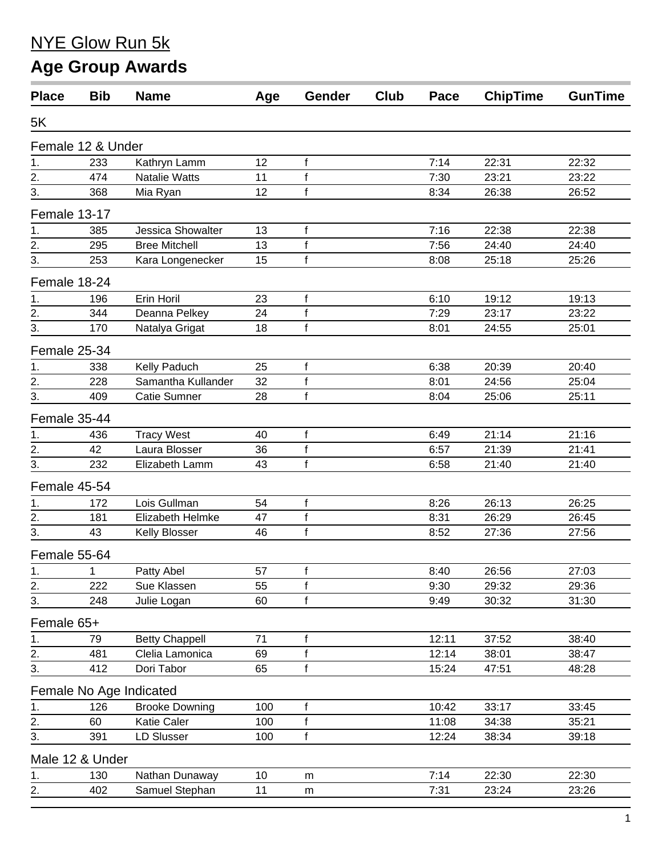## NYE Glow Run 5k

## **Age Group Awards**

| <b>Place</b>     | <b>Bib</b>        | <b>Name</b>             | Age | Gender       | <b>Club</b> | Pace  | <b>ChipTime</b> | <b>GunTime</b> |
|------------------|-------------------|-------------------------|-----|--------------|-------------|-------|-----------------|----------------|
| 5K               |                   |                         |     |              |             |       |                 |                |
|                  | Female 12 & Under |                         |     |              |             |       |                 |                |
| 1.               | 233               | Kathryn Lamm            | 12  | f            |             | 7:14  | 22:31           | 22:32          |
| $\frac{2}{3}$ .  | 474               | <b>Natalie Watts</b>    | 11  | f            |             | 7:30  | 23:21           | 23:22          |
|                  | 368               | Mia Ryan                | 12  | $\mathsf{f}$ |             | 8:34  | 26:38           | 26:52          |
| Female 13-17     |                   |                         |     |              |             |       |                 |                |
| 1.               | 385               | Jessica Showalter       | 13  | f            |             | 7:16  | 22:38           | 22:38          |
| $\frac{2}{3}$    | 295               | <b>Bree Mitchell</b>    | 13  | f            |             | 7:56  | 24:40           | 24:40          |
|                  | 253               | Kara Longenecker        | 15  | $\mathsf{f}$ |             | 8:08  | 25:18           | 25:26          |
| Female 18-24     |                   |                         |     |              |             |       |                 |                |
| 1.               | 196               | Erin Horil              | 23  | f            |             | 6:10  | 19:12           | 19:13          |
| 2.               | 344               | Deanna Pelkey           | 24  | f            |             | 7:29  | 23:17           | 23:22          |
| 3.               | 170               | Natalya Grigat          | 18  | $\mathsf{f}$ |             | 8:01  | 24:55           | 25:01          |
| Female 25-34     |                   |                         |     |              |             |       |                 |                |
| 1.               | 338               | Kelly Paduch            | 25  | f            |             | 6:38  | 20:39           | 20:40          |
| 2.               | 228               | Samantha Kullander      | 32  | f            |             | 8:01  | 24:56           | 25:04          |
| $\overline{3}$ . | 409               | <b>Catie Sumner</b>     | 28  | $\mathsf{f}$ |             | 8:04  | 25:06           | 25:11          |
| Female 35-44     |                   |                         |     |              |             |       |                 |                |
| 1.               | 436               | <b>Tracy West</b>       | 40  | f            |             | 6:49  | 21:14           | 21:16          |
|                  | 42                | Laura Blosser           | 36  | f            |             | 6:57  | 21:39           | 21:41          |
| $\frac{2}{3}$    | 232               | Elizabeth Lamm          | 43  | $\mathsf{f}$ |             | 6:58  | 21:40           | 21:40          |
| Female 45-54     |                   |                         |     |              |             |       |                 |                |
| 1.               | 172               | Lois Gullman            | 54  | f            |             | 8:26  | 26:13           | 26:25          |
| 2.               | 181               | Elizabeth Helmke        | 47  | f            |             | 8:31  | 26:29           | 26:45          |
| 3.               | 43                | Kelly Blosser           | 46  | $\mathsf{f}$ |             | 8:52  | 27:36           | 27:56          |
| Female 55-64     |                   |                         |     |              |             |       |                 |                |
| 1.               | 1                 | Patty Abel              | 57  | f            |             | 8:40  | 26:56           | 27:03          |
| 2.               | 222               | Sue Klassen             | 55  | f            |             | 9:30  | 29:32           | 29:36          |
| 3.               | 248               | Julie Logan             | 60  | $\mathsf{f}$ |             | 9:49  | 30:32           | 31:30          |
| Female 65+       |                   |                         |     |              |             |       |                 |                |
| 1.               | 79                | <b>Betty Chappell</b>   | 71  | f            |             | 12:11 | 37:52           | 38:40          |
| 2.               | 481               | Clelia Lamonica         | 69  | f            |             | 12:14 | 38:01           | 38:47          |
| 3.               | 412               | Dori Tabor              | 65  | f            |             | 15:24 | 47:51           | 48:28          |
|                  |                   | Female No Age Indicated |     |              |             |       |                 |                |
| 1.               | 126               | <b>Brooke Downing</b>   | 100 | f            |             | 10:42 | 33:17           | 33:45          |
| 2.               | 60                | Katie Caler             | 100 | f            |             | 11:08 | 34:38           | 35:21          |
| 3.               | 391               | <b>LD Slusser</b>       | 100 | $\mathsf{f}$ |             | 12:24 | 38:34           | 39:18          |
|                  | Male 12 & Under   |                         |     |              |             |       |                 |                |
| 1.               | 130               | Nathan Dunaway          | 10  | m            |             | 7:14  | 22:30           | 22:30          |
| 2.               | 402               | Samuel Stephan          | 11  | m            |             | 7:31  | 23:24           | 23:26          |
|                  |                   |                         |     |              |             |       |                 |                |